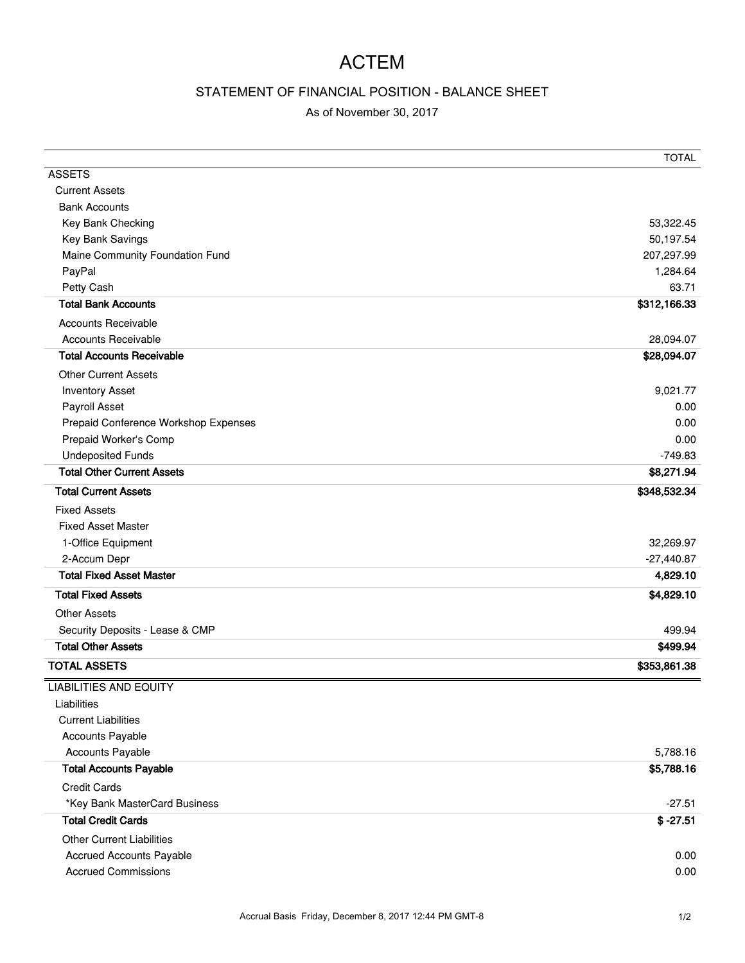## ACTEM

## STATEMENT OF FINANCIAL POSITION - BALANCE SHEET

## As of November 30, 2017

|                                      | <b>TOTAL</b> |
|--------------------------------------|--------------|
| <b>ASSETS</b>                        |              |
| <b>Current Assets</b>                |              |
| <b>Bank Accounts</b>                 |              |
| Key Bank Checking                    | 53,322.45    |
| Key Bank Savings                     | 50,197.54    |
| Maine Community Foundation Fund      | 207,297.99   |
| PayPal                               | 1,284.64     |
| Petty Cash                           | 63.71        |
| <b>Total Bank Accounts</b>           | \$312,166.33 |
| <b>Accounts Receivable</b>           |              |
| <b>Accounts Receivable</b>           | 28,094.07    |
| <b>Total Accounts Receivable</b>     | \$28,094.07  |
| <b>Other Current Assets</b>          |              |
| <b>Inventory Asset</b>               | 9,021.77     |
| Payroll Asset                        | 0.00         |
| Prepaid Conference Workshop Expenses | 0.00         |
| Prepaid Worker's Comp                | 0.00         |
| <b>Undeposited Funds</b>             | $-749.83$    |
| <b>Total Other Current Assets</b>    | \$8,271.94   |
| <b>Total Current Assets</b>          | \$348,532.34 |
| <b>Fixed Assets</b>                  |              |
| <b>Fixed Asset Master</b>            |              |
| 1-Office Equipment                   | 32,269.97    |
| 2-Accum Depr                         | $-27,440.87$ |
| <b>Total Fixed Asset Master</b>      | 4,829.10     |
| <b>Total Fixed Assets</b>            | \$4,829.10   |
| <b>Other Assets</b>                  |              |
| Security Deposits - Lease & CMP      | 499.94       |
| <b>Total Other Assets</b>            | \$499.94     |
| <b>TOTAL ASSETS</b>                  | \$353,861.38 |
| <b>LIABILITIES AND EQUITY</b>        |              |
| Liabilities                          |              |
| <b>Current Liabilities</b>           |              |
| Accounts Payable                     |              |
| <b>Accounts Payable</b>              | 5,788.16     |
| <b>Total Accounts Payable</b>        | \$5,788.16   |
| <b>Credit Cards</b>                  |              |
| *Key Bank MasterCard Business        | $-27.51$     |
| <b>Total Credit Cards</b>            | $$ -27.51$   |
| <b>Other Current Liabilities</b>     |              |
| <b>Accrued Accounts Payable</b>      | 0.00         |
| <b>Accrued Commissions</b>           | 0.00         |
|                                      |              |